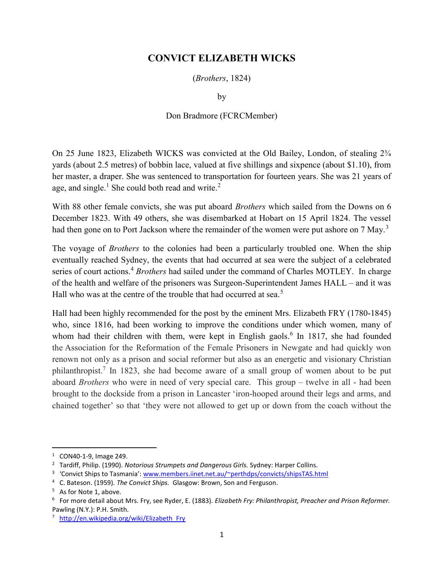## CONVICT ELIZABETH WICKS

(Brothers, 1824)

by

## Don Bradmore (FCRCMember)

On 25 June 1823, Elizabeth WICKS was convicted at the Old Bailey, London, of stealing 2¾ yards (about 2.5 metres) of bobbin lace, valued at five shillings and sixpence (about \$1.10), from her master, a draper. She was sentenced to transportation for fourteen years. She was 21 years of age, and single.<sup>1</sup> She could both read and write.<sup>2</sup>

With 88 other female convicts, she was put aboard Brothers which sailed from the Downs on 6 December 1823. With 49 others, she was disembarked at Hobart on 15 April 1824. The vessel had then gone on to Port Jackson where the remainder of the women were put ashore on 7 May.<sup>3</sup>

The voyage of *Brothers* to the colonies had been a particularly troubled one. When the ship eventually reached Sydney, the events that had occurred at sea were the subject of a celebrated series of court actions.<sup>4</sup> Brothers had sailed under the command of Charles MOTLEY. In charge of the health and welfare of the prisoners was Surgeon-Superintendent James HALL – and it was Hall who was at the centre of the trouble that had occurred at sea.<sup>5</sup>

Hall had been highly recommended for the post by the eminent Mrs. Elizabeth FRY (1780-1845) who, since 1816, had been working to improve the conditions under which women, many of whom had their children with them, were kept in English gaols.<sup>6</sup> In 1817, she had founded the Association for the Reformation of the Female Prisoners in Newgate and had quickly won renown not only as a prison and social reformer but also as an energetic and visionary Christian philanthropist.<sup>7</sup> In 1823, she had become aware of a small group of women about to be put aboard Brothers who were in need of very special care. This group – twelve in all - had been brought to the dockside from a prison in Lancaster 'iron-hooped around their legs and arms, and chained together' so that 'they were not allowed to get up or down from the coach without the

 $1$  CON40-1-9, Image 249.

<sup>&</sup>lt;sup>2</sup> Tardiff, Philip. (1990). Notorious Strumpets and Dangerous Girls. Sydney: Harper Collins.

<sup>&</sup>lt;sup>3</sup> 'Convict Ships to Tasmania': www.members.iinet.net.au/~perthdps/convicts/shipsTAS.html

<sup>&</sup>lt;sup>4</sup> C. Bateson. (1959). The Convict Ships. Glasgow: Brown, Son and Ferguson.

<sup>&</sup>lt;sup>5</sup> As for Note 1, above.

<sup>&</sup>lt;sup>6</sup> For more detail about Mrs. Fry, see Ryder, E. (1883). *Elizabeth Fry: Philanthropist, Preacher and Prison Reformer.* Pawling (N.Y.): P.H. Smith.

<sup>&</sup>lt;sup>7</sup> http://en.wikipedia.org/wiki/Elizabeth\_Fry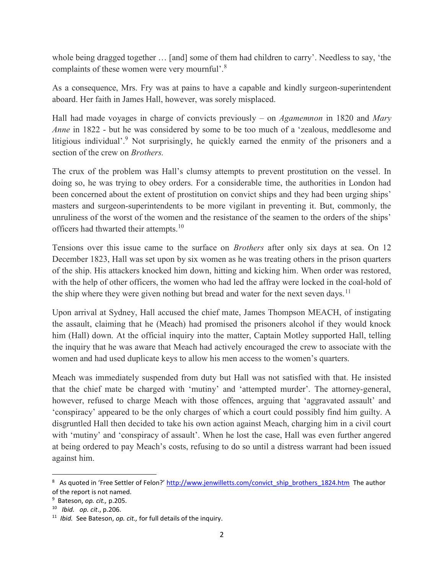whole being dragged together … [and] some of them had children to carry'. Needless to say, 'the complaints of these women were very mournful'.<sup>8</sup>

As a consequence, Mrs. Fry was at pains to have a capable and kindly surgeon-superintendent aboard. Her faith in James Hall, however, was sorely misplaced.

Hall had made voyages in charge of convicts previously – on  $Agamemnon$  in 1820 and Mary Anne in 1822 - but he was considered by some to be too much of a 'zealous, meddlesome and litigious individual'.<sup>9</sup> Not surprisingly, he quickly earned the enmity of the prisoners and a section of the crew on Brothers.

The crux of the problem was Hall's clumsy attempts to prevent prostitution on the vessel. In doing so, he was trying to obey orders. For a considerable time, the authorities in London had been concerned about the extent of prostitution on convict ships and they had been urging ships' masters and surgeon-superintendents to be more vigilant in preventing it. But, commonly, the unruliness of the worst of the women and the resistance of the seamen to the orders of the ships' officers had thwarted their attempts.<sup>10</sup>

Tensions over this issue came to the surface on Brothers after only six days at sea. On 12 December 1823, Hall was set upon by six women as he was treating others in the prison quarters of the ship. His attackers knocked him down, hitting and kicking him. When order was restored, with the help of other officers, the women who had led the affray were locked in the coal-hold of the ship where they were given nothing but bread and water for the next seven days.<sup>11</sup>

Upon arrival at Sydney, Hall accused the chief mate, James Thompson MEACH, of instigating the assault, claiming that he (Meach) had promised the prisoners alcohol if they would knock him (Hall) down. At the official inquiry into the matter, Captain Motley supported Hall, telling the inquiry that he was aware that Meach had actively encouraged the crew to associate with the women and had used duplicate keys to allow his men access to the women's quarters.

Meach was immediately suspended from duty but Hall was not satisfied with that. He insisted that the chief mate be charged with 'mutiny' and 'attempted murder'. The attorney-general, however, refused to charge Meach with those offences, arguing that 'aggravated assault' and 'conspiracy' appeared to be the only charges of which a court could possibly find him guilty. A disgruntled Hall then decided to take his own action against Meach, charging him in a civil court with 'mutiny' and 'conspiracy of assault'. When he lost the case, Hall was even further angered at being ordered to pay Meach's costs, refusing to do so until a distress warrant had been issued against him.

 $\overline{a}$ 

<sup>&</sup>lt;sup>8</sup> As quoted in 'Free Settler of Felon?' http://www.jenwilletts.com/convict ship\_brothers\_1824.htm The author of the report is not named.

<sup>&</sup>lt;sup>9</sup> Bateson, op. cit., p.205.

<sup>10</sup> Ibid. op. cit., p.206.

 $11$  *Ibid.* See Bateson, op. cit., for full details of the inquiry.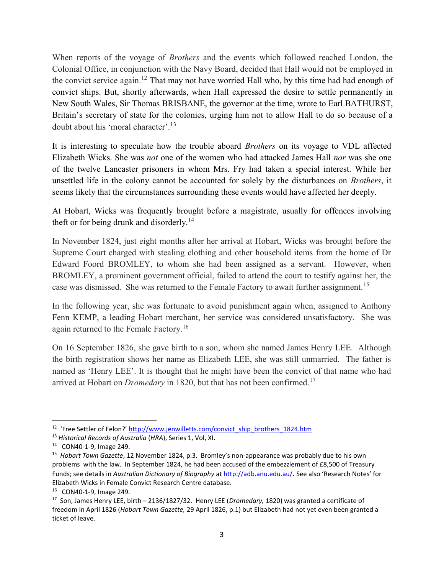When reports of the voyage of *Brothers* and the events which followed reached London, the Colonial Office, in conjunction with the Navy Board, decided that Hall would not be employed in the convict service again.<sup>12</sup> That may not have worried Hall who, by this time had had enough of convict ships. But, shortly afterwards, when Hall expressed the desire to settle permanently in New South Wales, Sir Thomas BRISBANE, the governor at the time, wrote to Earl BATHURST, Britain's secretary of state for the colonies, urging him not to allow Hall to do so because of a doubt about his 'moral character'.<sup>13</sup>

It is interesting to speculate how the trouble aboard Brothers on its voyage to VDL affected Elizabeth Wicks. She was not one of the women who had attacked James Hall nor was she one of the twelve Lancaster prisoners in whom Mrs. Fry had taken a special interest. While her unsettled life in the colony cannot be accounted for solely by the disturbances on Brothers, it seems likely that the circumstances surrounding these events would have affected her deeply.

At Hobart, Wicks was frequently brought before a magistrate, usually for offences involving theft or for being drunk and disorderly.<sup>14</sup>

In November 1824, just eight months after her arrival at Hobart, Wicks was brought before the Supreme Court charged with stealing clothing and other household items from the home of Dr Edward Foord BROMLEY, to whom she had been assigned as a servant. However, when BROMLEY, a prominent government official, failed to attend the court to testify against her, the case was dismissed. She was returned to the Female Factory to await further assignment.<sup>15</sup>

In the following year, she was fortunate to avoid punishment again when, assigned to Anthony Fenn KEMP, a leading Hobart merchant, her service was considered unsatisfactory. She was again returned to the Female Factory.<sup>16</sup>

On 16 September 1826, she gave birth to a son, whom she named James Henry LEE. Although the birth registration shows her name as Elizabeth LEE, she was still unmarried. The father is named as 'Henry LEE'. It is thought that he might have been the convict of that name who had arrived at Hobart on *Dromedary* in 1820, but that has not been confirmed.<sup>17</sup>

<sup>&</sup>lt;sup>12</sup> 'Free Settler of Felon?' http://www.jenwilletts.com/convict\_ship\_brothers\_1824.htm

<sup>&</sup>lt;sup>13</sup> Historical Records of Australia (HRA), Series 1, Vol, XI.

<sup>14</sup> CON40-1-9, Image 249.

<sup>&</sup>lt;sup>15</sup> Hobart Town Gazette, 12 November 1824, p.3. Bromley's non-appearance was probably due to his own problems with the law. In September 1824, he had been accused of the embezzlement of £8,500 of Treasury Funds; see details in Australian Dictionary of Biography at http://adb.anu.edu.au/. See also 'Research Notes' for Elizabeth Wicks in Female Convict Research Centre database.

<sup>16</sup> CON40-1-9, Image 249.

<sup>&</sup>lt;sup>17</sup> Son, James Henry LEE, birth – 2136/1827/32. Henry LEE (*Dromedary*, 1820) was granted a certificate of freedom in April 1826 (Hobart Town Gazette, 29 April 1826, p.1) but Elizabeth had not yet even been granted a ticket of leave.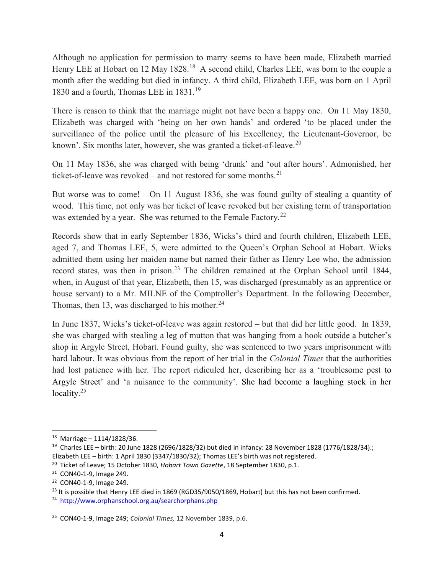Although no application for permission to marry seems to have been made, Elizabeth married Henry LEE at Hobart on 12 May 1828.<sup>18</sup> A second child, Charles LEE, was born to the couple a month after the wedding but died in infancy. A third child, Elizabeth LEE, was born on 1 April 1830 and a fourth, Thomas LEE in 1831.<sup>19</sup>

There is reason to think that the marriage might not have been a happy one. On 11 May 1830, Elizabeth was charged with 'being on her own hands' and ordered 'to be placed under the surveillance of the police until the pleasure of his Excellency, the Lieutenant-Governor, be known'. Six months later, however, she was granted a ticket-of-leave.<sup>20</sup>

On 11 May 1836, she was charged with being 'drunk' and 'out after hours'. Admonished, her ticket-of-leave was revoked – and not restored for some months.<sup>21</sup>

But worse was to come! On 11 August 1836, she was found guilty of stealing a quantity of wood. This time, not only was her ticket of leave revoked but her existing term of transportation was extended by a year. She was returned to the Female Factory.<sup>22</sup>

Records show that in early September 1836, Wicks's third and fourth children, Elizabeth LEE, aged 7, and Thomas LEE, 5, were admitted to the Queen's Orphan School at Hobart. Wicks admitted them using her maiden name but named their father as Henry Lee who, the admission record states, was then in prison.<sup>23</sup> The children remained at the Orphan School until 1844, when, in August of that year, Elizabeth, then 15, was discharged (presumably as an apprentice or house servant) to a Mr. MILNE of the Comptroller's Department. In the following December, Thomas, then 13, was discharged to his mother. $24$ 

In June 1837, Wicks's ticket-of-leave was again restored – but that did her little good. In 1839, she was charged with stealing a leg of mutton that was hanging from a hook outside a butcher's shop in Argyle Street, Hobart. Found guilty, she was sentenced to two years imprisonment with hard labour. It was obvious from the report of her trial in the Colonial Times that the authorities had lost patience with her. The report ridiculed her, describing her as a 'troublesome pest to Argyle Street' and 'a nuisance to the community'. She had become a laughing stock in her locality.<sup>25</sup>

 $18$  Marriage – 1114/1828/36.

<sup>19</sup> Charles LEE – birth: 20 June 1828 (2696/1828/32) but died in infancy: 28 November 1828 (1776/1828/34).; Elizabeth LEE – birth: 1 April 1830 (3347/1830/32); Thomas LEE's birth was not registered.

<sup>&</sup>lt;sup>20</sup> Ticket of Leave; 15 October 1830, Hobart Town Gazette, 18 September 1830, p.1.

<sup>21</sup> CON40-1-9, Image 249.

<sup>22</sup> CON40-1-9, Image 249.

<sup>&</sup>lt;sup>23</sup> It is possible that Henry LEE died in 1869 (RGD35/9050/1869, Hobart) but this has not been confirmed.

<sup>&</sup>lt;sup>24</sup> http://www.orphanschool.org.au/searchorphans.php

<sup>&</sup>lt;sup>25</sup> CON40-1-9, Image 249; Colonial Times, 12 November 1839, p.6.